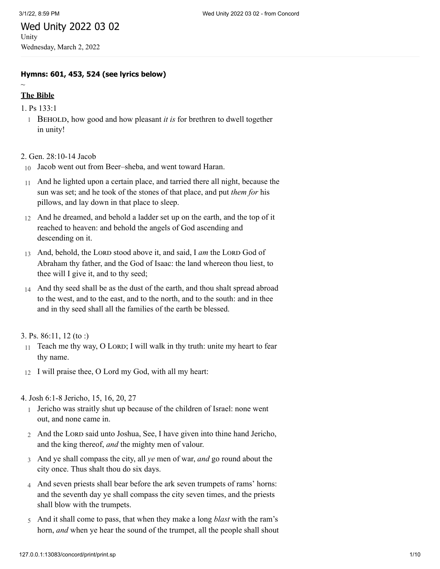## Wed Unity 2022 03 02 Unity Wednesday, March 2, 2022

**Hymns: 601, 453, 524 (see lyrics below)**

# **The Bible**

 $\sim$ 

- 1. [Ps 133:1](http://www.concordworks.com/citation/Ps%20133:1)
	- 1 Behold, how good and how pleasant *it is* for brethren to dwell together in unity!

2. [Gen. 28:10-14 Jacob](http://www.concordworks.com/citation/Gen.%2028:10-14%20Jacob)

- 10 Jacob went out from Beer–sheba, and went toward Haran.
- 11 And he lighted upon a certain place, and tarried there all night, because the sun was set; and he took of the stones of that place, and put *them for* his pillows, and lay down in that place to sleep.
- 12 And he dreamed, and behold a ladder set up on the earth, and the top of it reached to heaven: and behold the angels of God ascending and descending on it.
- 13 And, behold, the LORD stood above it, and said, I *am* the LORD God of Abraham thy father, and the God of Isaac: the land whereon thou liest, to thee will I give it, and to thy seed;
- 14 And thy seed shall be as the dust of the earth, and thou shalt spread abroad to the west, and to the east, and to the north, and to the south: and in thee and in thy seed shall all the families of the earth be blessed.

#### 3. [Ps. 86:11, 12 \(to :\)](http://www.concordworks.com/citation/Ps.%2086:11,%2012%20(to%20:))

- 11 Teach me thy way, O LORD; I will walk in thy truth: unite my heart to fear thy name.
- 12 I will praise thee, O Lord my God, with all my heart:

4. [Josh 6:1-8 Jericho, 15, 16, 20, 27](http://www.concordworks.com/citation/Josh%206:1-8%20Jericho,%2015,%2016,%2020,%2027)

- 1 Jericho was straitly shut up because of the children of Israel: none went out, and none came in.
- 2 And the Lord said unto Joshua, See, I have given into thine hand Jericho, and the king thereof, *and* the mighty men of valour.
- 3 And ye shall compass the city, all *ye* men of war, *and* go round about the city once. Thus shalt thou do six days.
- 4 And seven priests shall bear before the ark seven trumpets of rams' horns: and the seventh day ye shall compass the city seven times, and the priests shall blow with the trumpets.
- 5 And it shall come to pass, that when they make a long *blast* with the ram's horn, *and* when ye hear the sound of the trumpet, all the people shall shout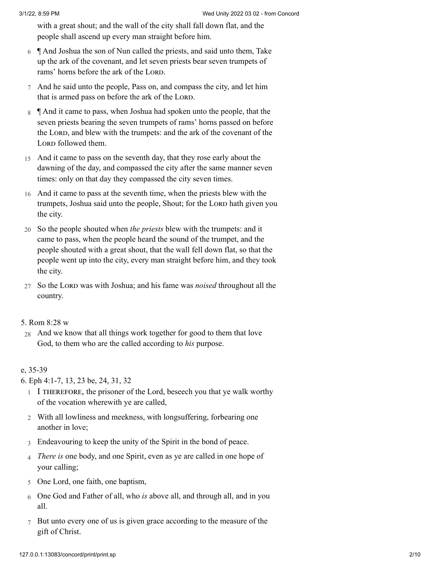with a great shout; and the wall of the city shall fall down flat, and the people shall ascend up every man straight before him.

- 6 ¶ And Joshua the son of Nun called the priests, and said unto them, Take up the ark of the covenant, and let seven priests bear seven trumpets of rams' horns before the ark of the LORD.
- 7 And he said unto the people, Pass on, and compass the city, and let him that is armed pass on before the ark of the LORD.
- 8  $\parallel$  And it came to pass, when Joshua had spoken unto the people, that the seven priests bearing the seven trumpets of rams' horns passed on before the LORD, and blew with the trumpets: and the ark of the covenant of the LORD followed them.
- 15 And it came to pass on the seventh day, that they rose early about the dawning of the day, and compassed the city after the same manner seven times: only on that day they compassed the city seven times.
- 16 And it came to pass at the seventh time, when the priests blew with the trumpets, Joshua said unto the people, Shout; for the LORD hath given you the city.
- 20 So the people shouted when *the priests* blew with the trumpets: and it came to pass, when the people heard the sound of the trumpet, and the people shouted with a great shout, that the wall fell down flat, so that the people went up into the city, every man straight before him, and they took the city.
- 27 So the LORD was with Joshua; and his fame was *noised* throughout all the country.

#### 5. [Rom 8:28 w](http://www.concordworks.com/citation/Rom%208:28%20w)

28 And we know that all things work together for good to them that love God, to them who are the called according to *his* purpose.

#### e, 35-39

6. [Eph 4:1-7, 13, 23 be, 24, 31, 32](http://www.concordworks.com/citation/Eph%204:1-7,%2013,%2023%20be,%2024,%2031,%2032)

- 1 I therefore, the prisoner of the Lord, beseech you that ye walk worthy of the vocation wherewith ye are called,
- 2 With all lowliness and meekness, with longsuffering, forbearing one another in love;
- 3 Endeavouring to keep the unity of the Spirit in the bond of peace.
- 4 *There is* one body, and one Spirit, even as ye are called in one hope of your calling;
- 5 One Lord, one faith, one baptism,
- 6 One God and Father of all, who *is* above all, and through all, and in you all.
- 7 But unto every one of us is given grace according to the measure of the gift of Christ.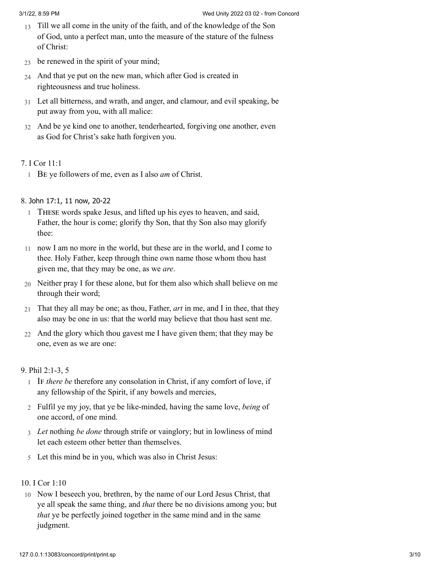- 13 Till we all come in the unity of the faith, and of the knowledge of the Son of God, unto a perfect man, unto the measure of the stature of the fulness of Christ:
- $23$ be renewed in the spirit of your mind;
- 24 And that ye put on the new man, which after God is created in righteousness and true holiness.
- 31 Let all bitterness, and wrath, and anger, and clamour, and evil speaking, be put away from you, with all malice:
- 32 And be ye kind one to another, tenderhearted, forgiving one another, even as God for Christ's sake hath forgiven you.

## 7. [I Cor 11:1](http://www.concordworks.com/citation/I%20Cor%2011:1)

1 Be ye followers of me, even as I also *am* of Christ.

## 8. John 17:1, 11 now, [20-22](http://www.concordworks.com/citation/John%2017:1,%2011%20now,%2020-22)

- 1 These words spake Jesus, and lifted up his eyes to heaven, and said, Father, the hour is come; glorify thy Son, that thy Son also may glorify thee:
- 11 now I am no more in the world, but these are in the world, and I come to thee. Holy Father, keep through thine own name those whom thou hast given me, that they may be one, as we *are*.
- 20 Neither pray I for these alone, but for them also which shall believe on me through their word;
- 21 That they all may be one; as thou, Father, *art* in me, and I in thee, that they also may be one in us: that the world may believe that thou hast sent me.
- 22 And the glory which thou gavest me I have given them; that they may be one, even as we are one:

## 9. [Phil 2:1-3, 5](http://www.concordworks.com/citation/Phil%202:1-3,%205)

- 1 IF *there be* therefore any consolation in Christ, if any comfort of love, if any fellowship of the Spirit, if any bowels and mercies,
- 2 Fulfil ye my joy, that ye be like-minded, having the same love, *being* of one accord, of one mind.
- 3 *Let* nothing *be done* through strife or vainglory; but in lowliness of mind let each esteem other better than themselves.
- 5 Let this mind be in you, which was also in Christ Jesus:

## 10. [I Cor 1:10](http://www.concordworks.com/citation/I%20Cor%201:10)

10 Now I beseech you, brethren, by the name of our Lord Jesus Christ, that ye all speak the same thing, and *that* there be no divisions among you; but *that* ye be perfectly joined together in the same mind and in the same judgment.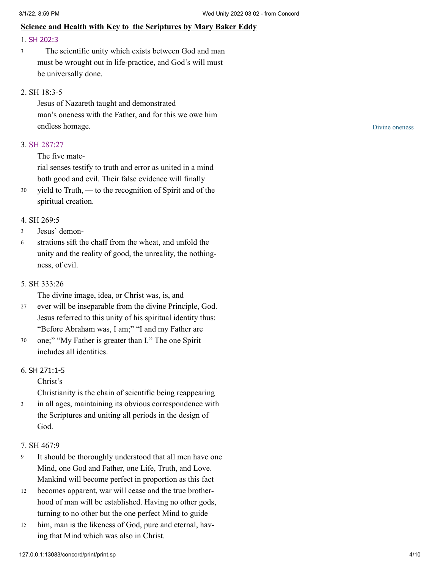## **Science and Health with Key to the Scriptures by Mary Baker Eddy**

## 1. SH [202:3](http://www.concordworks.com/citation/SH%20202:3)

The scientific unity which exists between God and man must be wrought out in life-practice, and God's will must be universally done. 3

#### 2. [SH 18:3-5](http://www.concordworks.com/citation/SH%2018:3-5)

Jesus of Nazareth taught and demonstrated man's oneness with the Father, and for this we owe him endless homage.

#### 3. [SH 287:27](http://www.concordworks.com/citation/SH%20287:27)

## The five mate‐

rial senses testify to truth and error as united in a mind both good and evil. Their false evidence will finally

yield to Truth, — to the recognition of Spirit and of the spiritual creation. 30

#### 4. [SH 269:5](http://www.concordworks.com/citation/SH%20269:5)

- Jesus' demon‐ 3
- strations sift the chaff from the wheat, and unfold the unity and the reality of good, the unreality, the nothing‐ ness, of evil. 6

#### 5. [SH 333:26](http://www.concordworks.com/citation/SH%20333:26)

The divine image, idea, or Christ was, is, and

- ever will be inseparable from the divine Principle, God. Jesus referred to this unity of his spiritual identity thus: "Before Abraham was, I am;" "I and my Father are 27
- one;" "My Father is greater than I." The one Spirit includes all identities. 30

#### 6. SH [271:1-5](http://www.concordworks.com/citation/SH%20271:1-5)

Christ's

Christianity is the chain of scientific being reappearing

in all ages, maintaining its obvious correspondence with the Scriptures and uniting all periods in the design of God. 3

#### 7. [SH 467:9](http://www.concordworks.com/citation/SH%20467:9)

- It should be thoroughly understood that all men have one Mind, one God and Father, one Life, Truth, and Love. Mankind will become perfect in proportion as this fact 9
- becomes apparent, war will cease and the true brother‐ hood of man will be established. Having no other gods, turning to no other but the one perfect Mind to guide 12
- him, man is the likeness of God, pure and eternal, having that Mind which was also in Christ. 15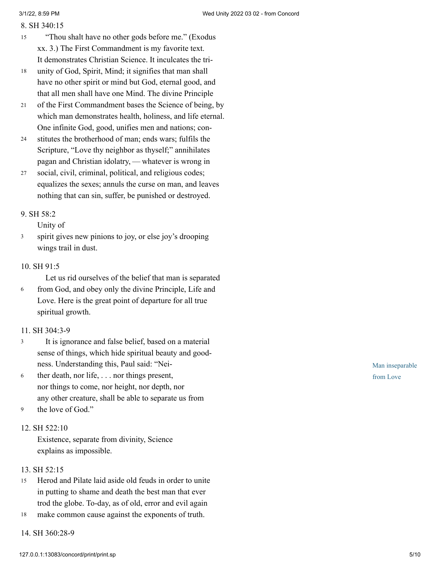#### 8. [SH 340:15](http://www.concordworks.com/citation/SH%20340:15)

- "Thou shalt have no other gods before me." (Exodus xx. 3.) The First Commandment is my favorite text. It demonstrates Christian Science. It inculcates the tri-15
- unity of God, Spirit, Mind; it signifies that man shall have no other spirit or mind but God, eternal good, and that all men shall have one Mind. The divine Principle 18
- of the First Commandment bases the Science of being, by which man demonstrates health, holiness, and life eternal. One infinite God, good, unifies men and nations; con‐ 21
- stitutes the brotherhood of man; ends wars; fulfils the Scripture, "Love thy neighbor as thyself;" annihilates pagan and Christian idolatry, - whatever is wrong in 24
- social, civil, criminal, political, and religious codes; equalizes the sexes; annuls the curse on man, and leaves nothing that can sin, suffer, be punished or destroyed. 27

## 9. [SH 58:2](http://www.concordworks.com/citation/SH%2058:2)

Unity of

spirit gives new pinions to joy, or else joy's drooping wings trail in dust. 3

## 10. [SH 91:5](http://www.concordworks.com/citation/SH%2091:5)

Let us rid ourselves of the belief that man is separated

from God, and obey only the divine Principle, Life and Love. Here is the great point of departure for all true spiritual growth. 6

## 11. [SH 304:3-9](http://www.concordworks.com/citation/SH%20304:3-9)

- It is ignorance and false belief, based on a material sense of things, which hide spiritual beauty and good‐ ness. Understanding this, Paul said: "Nei‐ 3
- ther death, nor life, . . . nor things present, nor things to come, nor height, nor depth, nor any other creature, shall be able to separate us from 6
- the love of God." 9

## 12. [SH 522:10](http://www.concordworks.com/citation/SH%20522:10)

Existence, separate from divinity, Science explains as impossible.

## 13. [SH 52:15](http://www.concordworks.com/citation/SH%2052:15)

- Herod and Pilate laid aside old feuds in order to unite in putting to shame and death the best man that ever trod the globe. To-day, as of old, error and evil again 15
- make common cause against the exponents of truth. 18
- 14. [SH 360:28-9](http://www.concordworks.com/citation/SH%20360:28-9)

Man inseparable from Love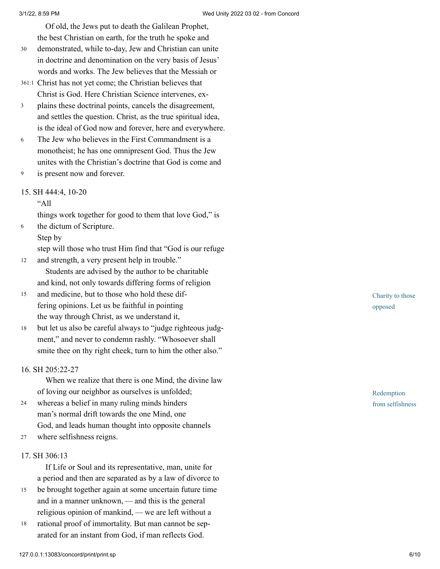Of old, the Jews put to death the Galilean Prophet, the best Christian on earth, for the truth he spoke and

- demonstrated, while to-day, Jew and Christian can unite in doctrine and denomination on the very basis of Jesus' words and works. The Jew believes that the Messiah or 30
- Christ has not yet come; the Christian believes that 361:1 Christ is God. Here Christian Science intervenes, ex‐
- plains these doctrinal points, cancels the disagreement, and settles the question. Christ, as the true spiritual idea, is the ideal of God now and forever, here and everywhere. 3
- The Jew who believes in the First Commandment is a monotheist; he has one omnipresent God. Thus the Jew unites with the Christian's doctrine that God is come and 6
- is present now and forever. 9

## 15. [SH 444:4, 10-20](http://www.concordworks.com/citation/SH%20444:4,%2010-20)

## $"All"$

things work together for good to them that love God," is the dictum of Scripture.

## Step by

6

step will those who trust Him find that "God is our refuge

- and strength, a very present help in trouble." Students are advised by the author to be charitable and kind, not only towards differing forms of religion 12
- and medicine, but to those who hold these dif‐ fering opinions. Let us be faithful in pointing the way through Christ, as we understand it, 15
- but let us also be careful always to "judge righteous judgment," and never to condemn rashly. "Whosoever shall smite thee on thy right cheek, turn to him the other also." 18

## 16. [SH 205:22-27](http://www.concordworks.com/citation/SH%20205:22-27)

When we realize that there is one Mind, the divine law of loving our neighbor as ourselves is unfolded;

- whereas a belief in many ruling minds hinders man's normal drift towards the one Mind, one God, and leads human thought into opposite channels 24
- where selfishness reigns. 27

## 17. [SH 306:13](http://www.concordworks.com/citation/SH%20306:13)

If Life or Soul and its representative, man, unite for a period and then are separated as by a law of divorce to

- be brought together again at some uncertain future time and in a manner unknown, — and this is the general religious opinion of mankind, — we are left without a 15
- rational proof of immortality. But man cannot be separated for an instant from God, if man reflects God. 18

Charity to those opposed

Redemption from selfishness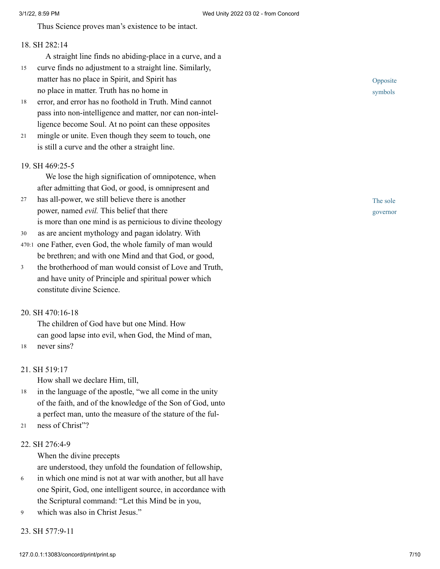Thus Science proves man's existence to be intact.

#### 18. [SH 282:14](http://www.concordworks.com/citation/SH%20282:14)

- A straight line finds no abiding-place in a curve, and a
- curve finds no adjustment to a straight line. Similarly, matter has no place in Spirit, and Spirit has no place in matter. Truth has no home in 15
- error, and error has no foothold in Truth. Mind cannot pass into non-intelligence and matter, nor can non-intel‐ ligence become Soul. At no point can these opposites 18
- mingle or unite. Even though they seem to touch, one is still a curve and the other a straight line. 21

#### 19. [SH 469:25-5](http://www.concordworks.com/citation/SH%20469:25-5)

We lose the high signification of omnipotence, when after admitting that God, or good, is omnipresent and

- has all-power, we still believe there is another power, named *evil.* This belief that there is more than one mind is as pernicious to divine theology 27
- as are ancient mythology and pagan idolatry. With 30
- 470:1 one Father, even God, the whole family of man would be brethren; and with one Mind and that God, or good,
- the brotherhood of man would consist of Love and Truth, and have unity of Principle and spiritual power which constitute divine Science. 3

#### 20. [SH 470:16-18](http://www.concordworks.com/citation/SH%20470:16-18)

The children of God have but one Mind. How can good lapse into evil, when God, the Mind of man, 18 never sins?

#### 21. [SH 519:17](http://www.concordworks.com/citation/SH%20519:17)

How shall we declare Him, till,

- in the language of the apostle, "we all come in the unity of the faith, and of the knowledge of the Son of God, unto a perfect man, unto the measure of the stature of the ful‐ 18
- ness of Christ"?  $21$

#### 22. [SH 276:4-9](http://www.concordworks.com/citation/SH%20276:4-9)

When the divine precepts

are understood, they unfold the foundation of fellowship,

- in which one mind is not at war with another, but all have one Spirit, God, one intelligent source, in accordance with the Scriptural command: "Let this Mind be in you, 6
- which was also in Christ Jesus." 9

23. [SH 577:9-11](http://www.concordworks.com/citation/SH%20577:9-11)

Opposite symbols

The sole governor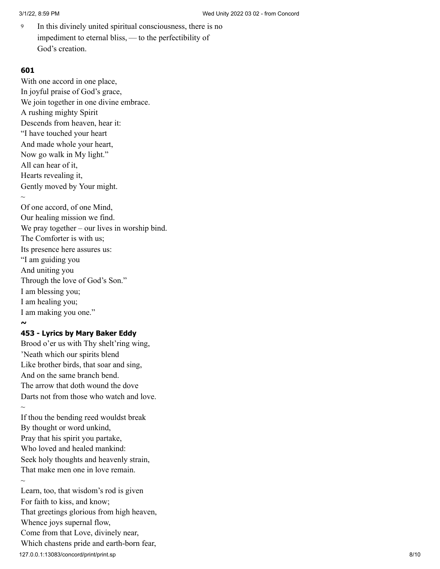In this divinely united spiritual consciousness, there is no impediment to eternal bliss, — to the perfectibility of God's creation. 9

## **601**

With one accord in one place, In joyful praise of God's grace, We join together in one divine embrace. A rushing mighty Spirit Descends from heaven, hear it: "I have touched your heart And made whole your heart, Now go walk in My light." All can hear of it, Hearts revealing it, Gently moved by Your might.  $\sim$ Of one accord, of one Mind, Our healing mission we find. We pray together – our lives in worship bind. The Comforter is with us; Its presence here assures us: "I am guiding you And uniting you Through the love of God's Son." I am blessing you; I am healing you; I am making you one." **~ 453 - Lyrics by Mary Baker Eddy**

Brood o'er us with Thy shelt'ring wing, 'Neath which our spirits blend Like brother birds, that soar and sing, And on the same branch bend. The arrow that doth wound the dove Darts not from those who watch and love.  $\sim$ If thou the bending reed wouldst break By thought or word unkind, Pray that his spirit you partake,

Who loved and healed mankind: Seek holy thoughts and heavenly strain, That make men one in love remain.  $\sim$ 

127.0.0.1:13083/concord/print/print.sp 8/10 Learn, too, that wisdom's rod is given For faith to kiss, and know; That greetings glorious from high heaven, Whence joys supernal flow, Come from that Love, divinely near, Which chastens pride and earth-born fear,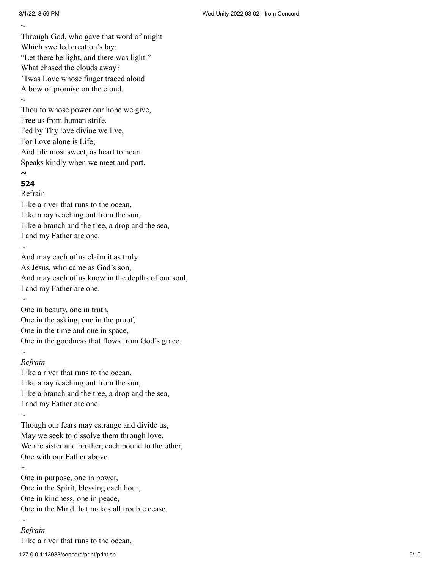$\sim$ 

Through God, who gave that word of might Which swelled creation's lay: "Let there be light, and there was light." What chased the clouds away? 'Twas Love whose finger traced aloud A bow of promise on the cloud.  $\sim$ 

Thou to whose power our hope we give, Free us from human strife. Fed by Thy love divine we live, For Love alone is Life; And life most sweet, as heart to heart Speaks kindly when we meet and part. **~**

# **524**

Refrain

Like a river that runs to the ocean, Like a ray reaching out from the sun, Like a branch and the tree, a drop and the sea, I and my Father are one.

And may each of us claim it as truly As Jesus, who came as God's son, And may each of us know in the depths of our soul, I and my Father are one.

 $\sim$ 

 $\sim$ 

One in beauty, one in truth, One in the asking, one in the proof, One in the time and one in space, One in the goodness that flows from God's grace.  $\sim$ 

## *Refrain*

Like a river that runs to the ocean, Like a ray reaching out from the sun, Like a branch and the tree, a drop and the sea, I and my Father are one.

Though our fears may estrange and divide us, May we seek to dissolve them through love, We are sister and brother, each bound to the other, One with our Father above.

 $\sim$ 

 $\sim$ 

 $\sim$ 

One in purpose, one in power, One in the Spirit, blessing each hour, One in kindness, one in peace, One in the Mind that makes all trouble cease.

## *Refrain*

Like a river that runs to the ocean,